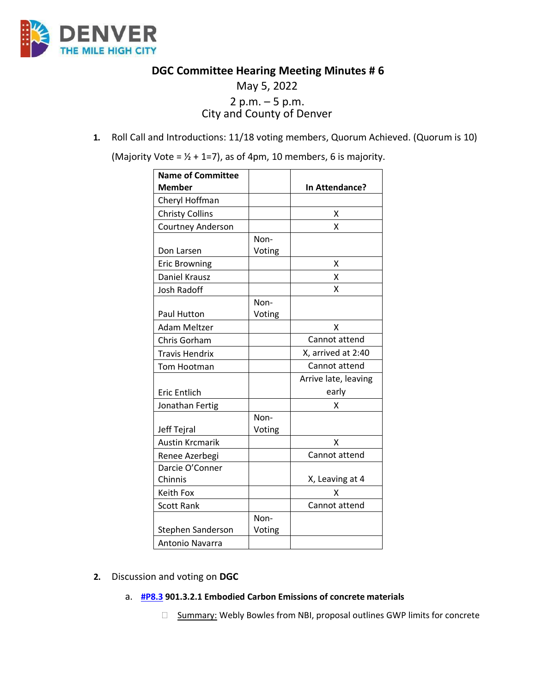

**DGC Committee Hearing Meeting Minutes # 6**

# May 5, 2022 2 p.m. – 5 p.m. City and County of Denver

**1.** Roll Call and Introductions: 11/18 voting members, Quorum Achieved. (Quorum is 10)

(Majority Vote =  $1/2$  + 1=7), as of 4pm, 10 members, 6 is majority.

| <b>Name of Committee</b> |        |                      |
|--------------------------|--------|----------------------|
| <b>Member</b>            |        | In Attendance?       |
| Cheryl Hoffman           |        |                      |
| <b>Christy Collins</b>   |        | х                    |
| <b>Courtney Anderson</b> |        | X                    |
|                          | Non-   |                      |
| Don Larsen               | Voting |                      |
| <b>Eric Browning</b>     |        | х                    |
| Daniel Krausz            |        | X                    |
| <b>Josh Radoff</b>       |        | X                    |
|                          | Non-   |                      |
| Paul Hutton              | Voting |                      |
| Adam Meltzer             |        | x                    |
| Chris Gorham             |        | Cannot attend        |
| <b>Travis Hendrix</b>    |        | X, arrived at 2:40   |
| Tom Hootman              |        | Cannot attend        |
|                          |        | Arrive late, leaving |
| <b>Eric Entlich</b>      |        | early                |
| Jonathan Fertig          |        | χ                    |
|                          | Non-   |                      |
| Jeff Tejral              | Voting |                      |
| <b>Austin Krcmarik</b>   |        | X                    |
| Renee Azerbegi           |        | Cannot attend        |
| Darcie O'Conner          |        |                      |
| Chinnis                  |        | X, Leaving at 4      |
| Keith Fox                |        | x                    |
| <b>Scott Rank</b>        |        | Cannot attend        |
|                          | Non-   |                      |
| Stephen Sanderson        | Voting |                      |
| Antonio Navarra          |        |                      |

## **2.** Discussion and voting on **DGC**

# a. **[#P8.3](https://www.denvergov.org/files/assets/public/community-planning-and-development/documents/ds/building-codes/code-adoption/amendment-proposals/dgc/dgc-901.3.2.1.pdf) 901.3.2.1 Embodied Carbon Emissions of concrete materials**

□ Summary: Webly Bowles from NBI, proposal outlines GWP limits for concrete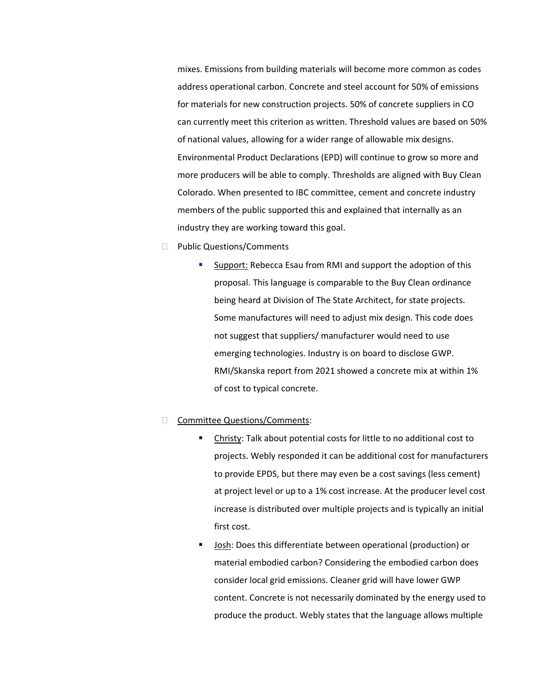mixes. Emissions from building materials will become more common as codes address operational carbon. Concrete and steel account for 50% of emissions for materials for new construction projects. 50% of concrete suppliers in CO can currently meet this criterion as written. Threshold values are based on 50% of national values, allowing for a wider range of allowable mix designs. Environmental Product Declarations (EPD) will continue to grow so more and more producers will be able to comply. Thresholds are aligned with Buy Clean Colorado. When presented to IBC committee, cement and concrete industry members of the public supported this and explained that internally as an industry they are working toward this goal.

- □ Public Questions/Comments
	- Support: Rebecca Esau from RMI and support the adoption of this proposal. This language is comparable to the Buy Clean ordinance being heard at Division of The State Architect, for state projects. Some manufactures will need to adjust mix design. This code does not suggest that suppliers/ manufacturer would need to use emerging technologies. Industry is on board to disclose GWP. RMI/Skanska report from 2021 showed a concrete mix at within 1% of cost to typical concrete.

#### **□** Committee Questions/Comments:

- Christy: Talk about potential costs for little to no additional cost to projects. Webly responded it can be additional cost for manufacturers to provide EPDS, but there may even be a cost savings (less cement) at project level or up to a 1% cost increase. At the producer level cost increase is distributed over multiple projects and is typically an initial first cost.
- Josh: Does this differentiate between operational (production) or material embodied carbon? Considering the embodied carbon does consider local grid emissions. Cleaner grid will have lower GWP content. Concrete is not necessarily dominated by the energy used to produce the product. Webly states that the language allows multiple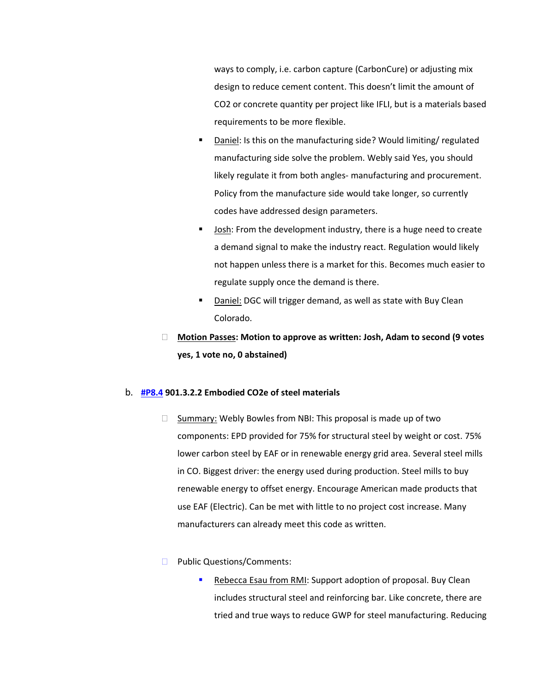ways to comply, i.e. carbon capture (CarbonCure) or adjusting mix design to reduce cement content. This doesn't limit the amount of CO2 or concrete quantity per project like IFLI, but is a materials based requirements to be more flexible.

- Daniel: Is this on the manufacturing side? Would limiting/ regulated manufacturing side solve the problem. Webly said Yes, you should likely regulate it from both angles- manufacturing and procurement. Policy from the manufacture side would take longer, so currently codes have addressed design parameters.
- Josh: From the development industry, there is a huge need to create a demand signal to make the industry react. Regulation would likely not happen unless there is a market for this. Becomes much easier to regulate supply once the demand is there.
- Daniel: DGC will trigger demand, as well as state with Buy Clean Colorado.
- **Motion Passes: Motion to approve as written: Josh, Adam to second (9 votes yes, 1 vote no, 0 abstained)**

#### b. **[#P8.4](https://www.denvergov.org/files/assets/public/community-planning-and-development/documents/ds/building-codes/code-adoption/amendment-proposals/dgc/dgc-901.3.2.2.pdf) 901.3.2.2 Embodied CO2e of steel materials**

- $\Box$  Summary: Webly Bowles from NBI: This proposal is made up of two components: EPD provided for 75% for structural steel by weight or cost. 75% lower carbon steel by EAF or in renewable energy grid area. Several steel mills in CO. Biggest driver: the energy used during production. Steel mills to buy renewable energy to offset energy. Encourage American made products that use EAF (Electric). Can be met with little to no project cost increase. Many manufacturers can already meet this code as written.
- **Public Questions/Comments:** 
	- Rebecca Esau from RMI: Support adoption of proposal. Buy Clean includes structural steel and reinforcing bar. Like concrete, there are tried and true ways to reduce GWP for steel manufacturing. Reducing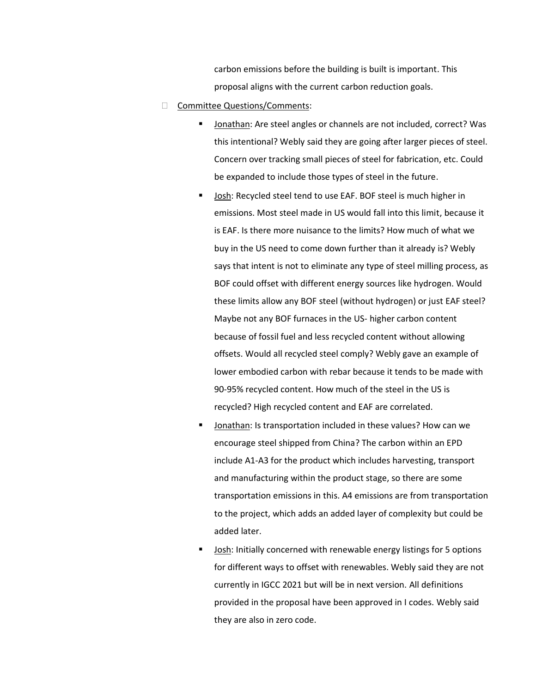carbon emissions before the building is built is important. This proposal aligns with the current carbon reduction goals.

- □ Committee Questions/Comments:
	- Jonathan: Are steel angles or channels are not included, correct? Was this intentional? Webly said they are going after larger pieces of steel. Concern over tracking small pieces of steel for fabrication, etc. Could be expanded to include those types of steel in the future.
	- Josh: Recycled steel tend to use EAF. BOF steel is much higher in emissions. Most steel made in US would fall into this limit, because it is EAF. Is there more nuisance to the limits? How much of what we buy in the US need to come down further than it already is? Webly says that intent is not to eliminate any type of steel milling process, as BOF could offset with different energy sources like hydrogen. Would these limits allow any BOF steel (without hydrogen) or just EAF steel? Maybe not any BOF furnaces in the US- higher carbon content because of fossil fuel and less recycled content without allowing offsets. Would all recycled steel comply? Webly gave an example of lower embodied carbon with rebar because it tends to be made with 90-95% recycled content. How much of the steel in the US is recycled? High recycled content and EAF are correlated.
	- Jonathan: Is transportation included in these values? How can we encourage steel shipped from China? The carbon within an EPD include A1-A3 for the product which includes harvesting, transport and manufacturing within the product stage, so there are some transportation emissions in this. A4 emissions are from transportation to the project, which adds an added layer of complexity but could be added later.
	- Josh: Initially concerned with renewable energy listings for 5 options for different ways to offset with renewables. Webly said they are not currently in IGCC 2021 but will be in next version. All definitions provided in the proposal have been approved in I codes. Webly said they are also in zero code.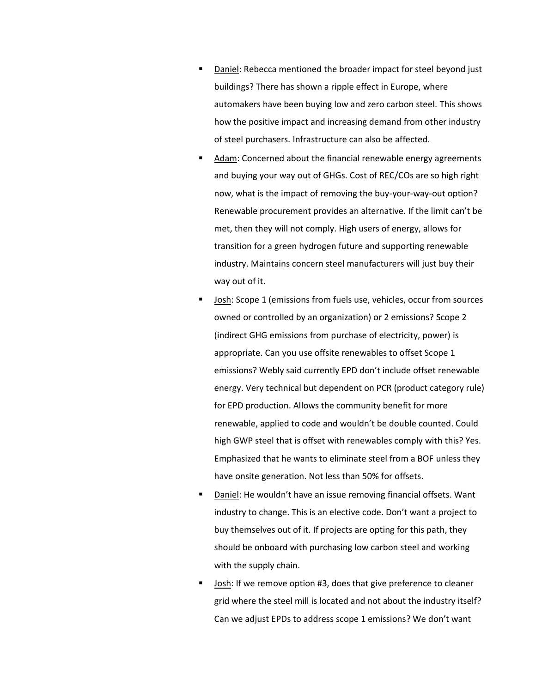- Daniel: Rebecca mentioned the broader impact for steel beyond just buildings? There has shown a ripple effect in Europe, where automakers have been buying low and zero carbon steel. This shows how the positive impact and increasing demand from other industry of steel purchasers. Infrastructure can also be affected.
- Adam: Concerned about the financial renewable energy agreements and buying your way out of GHGs. Cost of REC/COs are so high right now, what is the impact of removing the buy-your-way-out option? Renewable procurement provides an alternative. If the limit can't be met, then they will not comply. High users of energy, allows for transition for a green hydrogen future and supporting renewable industry. Maintains concern steel manufacturers will just buy their way out of it.
- Josh: Scope 1 (emissions from fuels use, vehicles, occur from sources owned or controlled by an organization) or 2 emissions? Scope 2 (indirect GHG emissions from purchase of electricity, power) is appropriate. Can you use offsite renewables to offset Scope 1 emissions? Webly said currently EPD don't include offset renewable energy. Very technical but dependent on PCR (product category rule) for EPD production. Allows the community benefit for more renewable, applied to code and wouldn't be double counted. Could high GWP steel that is offset with renewables comply with this? Yes. Emphasized that he wants to eliminate steel from a BOF unless they have onsite generation. Not less than 50% for offsets.
- Daniel: He wouldn't have an issue removing financial offsets. Want industry to change. This is an elective code. Don't want a project to buy themselves out of it. If projects are opting for this path, they should be onboard with purchasing low carbon steel and working with the supply chain.
- Josh: If we remove option #3, does that give preference to cleaner grid where the steel mill is located and not about the industry itself? Can we adjust EPDs to address scope 1 emissions? We don't want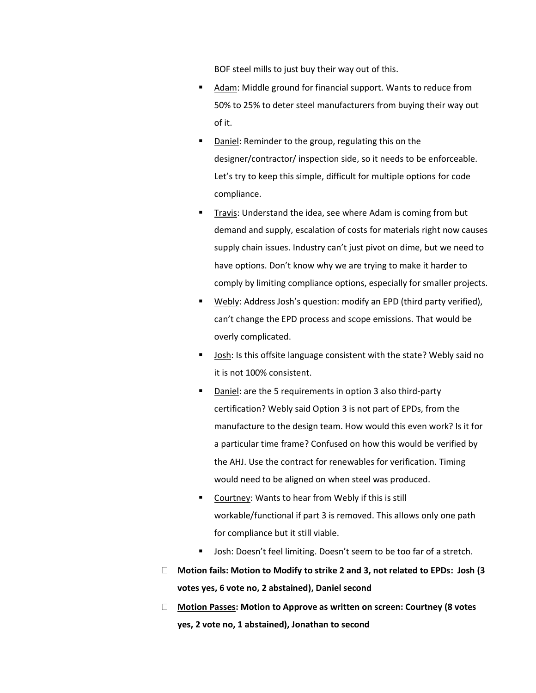BOF steel mills to just buy their way out of this.

- Adam: Middle ground for financial support. Wants to reduce from 50% to 25% to deter steel manufacturers from buying their way out of it.
- Daniel: Reminder to the group, regulating this on the designer/contractor/ inspection side, so it needs to be enforceable. Let's try to keep this simple, difficult for multiple options for code compliance.
- Travis: Understand the idea, see where Adam is coming from but demand and supply, escalation of costs for materials right now causes supply chain issues. Industry can't just pivot on dime, but we need to have options. Don't know why we are trying to make it harder to comply by limiting compliance options, especially for smaller projects.
- Webly: Address Josh's question: modify an EPD (third party verified), can't change the EPD process and scope emissions. That would be overly complicated.
- **Josh: Is this offsite language consistent with the state? Webly said no** it is not 100% consistent.
- Daniel: are the 5 requirements in option 3 also third-party certification? Webly said Option 3 is not part of EPDs, from the manufacture to the design team. How would this even work? Is it for a particular time frame? Confused on how this would be verified by the AHJ. Use the contract for renewables for verification. Timing would need to be aligned on when steel was produced.
- Courtney: Wants to hear from Webly if this is still workable/functional if part 3 is removed. This allows only one path for compliance but it still viable.
- Josh: Doesn't feel limiting. Doesn't seem to be too far of a stretch.
- **Motion fails: Motion to Modify to strike 2 and 3, not related to EPDs: Josh (3 votes yes, 6 vote no, 2 abstained), Daniel second**
- **Motion Passes: Motion to Approve as written on screen: Courtney (8 votes yes, 2 vote no, 1 abstained), Jonathan to second**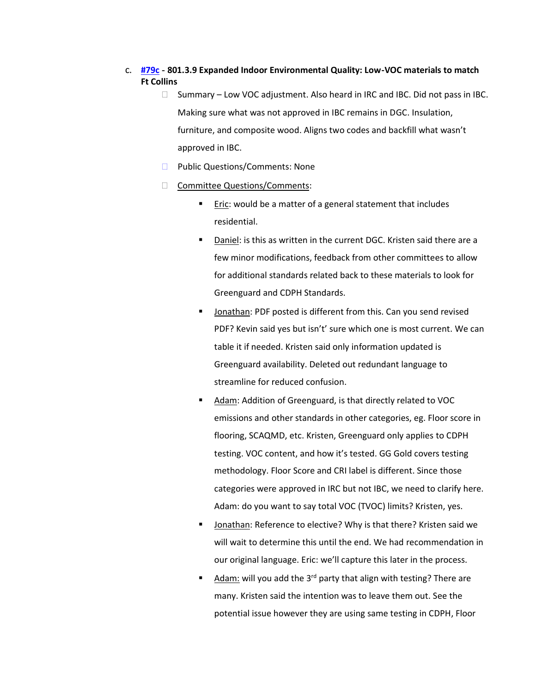# c. **[#79c](https://www.denvergov.org/files/assets/public/community-planning-and-development/documents/ds/building-codes/code-adoption/amendment-proposals/dgc/dgc_801.3.9.pdf) - 801.3.9 Expanded Indoor Environmental Quality: Low-VOC materials to match Ft Collins**

- $\Box$  Summary Low VOC adjustment. Also heard in IRC and IBC. Did not pass in IBC. Making sure what was not approved in IBC remains in DGC. Insulation, furniture, and composite wood. Aligns two codes and backfill what wasn't approved in IBC.
- **Public Questions/Comments: None**
- □ Committee Questions/Comments:
	- Eric: would be a matter of a general statement that includes residential.
	- Daniel: is this as written in the current DGC. Kristen said there are a few minor modifications, feedback from other committees to allow for additional standards related back to these materials to look for Greenguard and CDPH Standards.
	- Jonathan: PDF posted is different from this. Can you send revised PDF? Kevin said yes but isn't' sure which one is most current. We can table it if needed. Kristen said only information updated is Greenguard availability. Deleted out redundant language to streamline for reduced confusion.
	- Adam: Addition of Greenguard, is that directly related to VOC emissions and other standards in other categories, eg. Floor score in flooring, SCAQMD, etc. Kristen, Greenguard only applies to CDPH testing. VOC content, and how it's tested. GG Gold covers testing methodology. Floor Score and CRI label is different. Since those categories were approved in IRC but not IBC, we need to clarify here. Adam: do you want to say total VOC (TVOC) limits? Kristen, yes.
	- Jonathan: Reference to elective? Why is that there? Kristen said we will wait to determine this until the end. We had recommendation in our original language. Eric: we'll capture this later in the process.
	- Adam: will you add the 3<sup>rd</sup> party that align with testing? There are many. Kristen said the intention was to leave them out. See the potential issue however they are using same testing in CDPH, Floor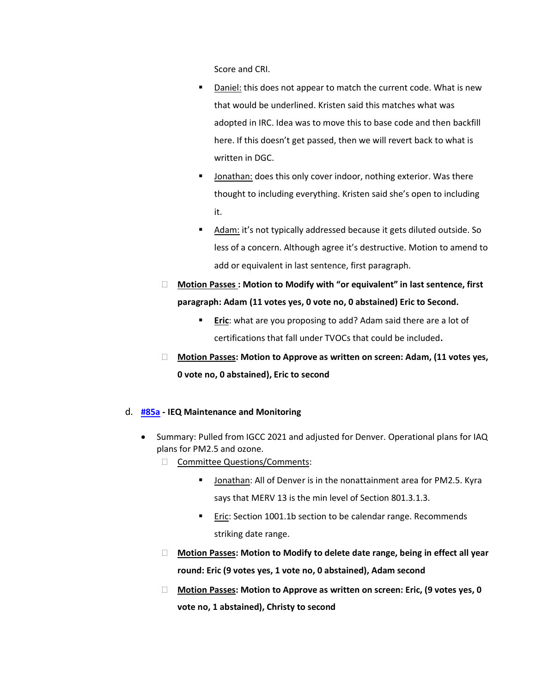Score and CRI.

- Daniel: this does not appear to match the current code. What is new that would be underlined. Kristen said this matches what was adopted in IRC. Idea was to move this to base code and then backfill here. If this doesn't get passed, then we will revert back to what is written in DGC.
- Jonathan: does this only cover indoor, nothing exterior. Was there thought to including everything. Kristen said she's open to including it.
- Adam: it's not typically addressed because it gets diluted outside. So less of a concern. Although agree it's destructive. Motion to amend to add or equivalent in last sentence, first paragraph.
- **Motion Passes : Motion to Modify with "or equivalent" in last sentence, first paragraph: Adam (11 votes yes, 0 vote no, 0 abstained) Eric to Second.** 
	- **Example 1 Eric**: what are you proposing to add? Adam said there are a lot of certifications that fall under TVOCs that could be included**.**
- **Motion Passes: Motion to Approve as written on screen: Adam, (11 votes yes, 0 vote no, 0 abstained), Eric to second**

### d. **[#85a](https://www.denvergov.org/files/assets/public/community-planning-and-development/documents/ds/building-codes/code-adoption/amendment-proposals/dgc/85a_dgc_1001.4_occupant-ieq-maintenance-and-monitoring.pdf) - IEQ Maintenance and Monitoring**

- Summary: Pulled from IGCC 2021 and adjusted for Denver. Operational plans for IAQ plans for PM2.5 and ozone.
	- Committee Questions/Comments:
		- Jonathan: All of Denver is in the nonattainment area for PM2.5. Kyra says that MERV 13 is the min level of Section 801.3.1.3.
		- Eric: Section 1001.1b section to be calendar range. Recommends striking date range.
	- **Motion Passes: Motion to Modify to delete date range, being in effect all year round: Eric (9 votes yes, 1 vote no, 0 abstained), Adam second**
	- **Motion Passes: Motion to Approve as written on screen: Eric, (9 votes yes, 0 vote no, 1 abstained), Christy to second**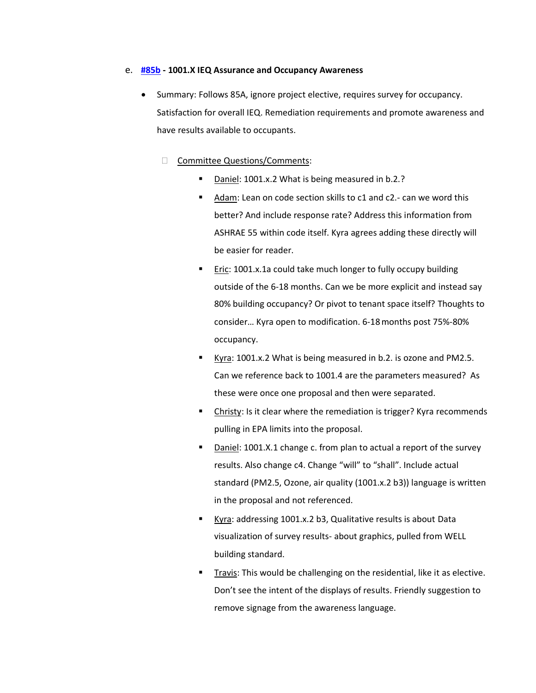### e. **[#85b](https://www.denvergov.org/files/assets/public/community-planning-and-development/documents/ds/building-codes/code-adoption/amendment-proposals/dgc/dgc_101.4.1_occupant-ieq-assurance-occupant-awareness.pdf) - 1001.X IEQ Assurance and Occupancy Awareness**

- Summary: Follows 85A, ignore project elective, requires survey for occupancy. Satisfaction for overall IEQ. Remediation requirements and promote awareness and have results available to occupants.
	- □ Committee Questions/Comments:
		- Daniel: 1001.x.2 What is being measured in b.2.?
		- Adam: Lean on code section skills to c1 and c2.- can we word this better? And include response rate? Address this information from ASHRAE 55 within code itself. Kyra agrees adding these directly will be easier for reader.
		- Eric: 1001.x.1a could take much longer to fully occupy building outside of the 6-18 months. Can we be more explicit and instead say 80% building occupancy? Or pivot to tenant space itself? Thoughts to consider… Kyra open to modification. 6-18months post 75%-80% occupancy.
		- Kyra: 1001.x.2 What is being measured in b.2. is ozone and PM2.5. Can we reference back to 1001.4 are the parameters measured? As these were once one proposal and then were separated.
		- Christy: Is it clear where the remediation is trigger? Kyra recommends pulling in EPA limits into the proposal.
		- Daniel: 1001.X.1 change c. from plan to actual a report of the survey results. Also change c4. Change "will" to "shall". Include actual standard (PM2.5, Ozone, air quality (1001.x.2 b3)) language is written in the proposal and not referenced.
		- Kyra: addressing 1001.x.2 b3, Qualitative results is about Data visualization of survey results- about graphics, pulled from WELL building standard.
		- Travis: This would be challenging on the residential, like it as elective. Don't see the intent of the displays of results. Friendly suggestion to remove signage from the awareness language.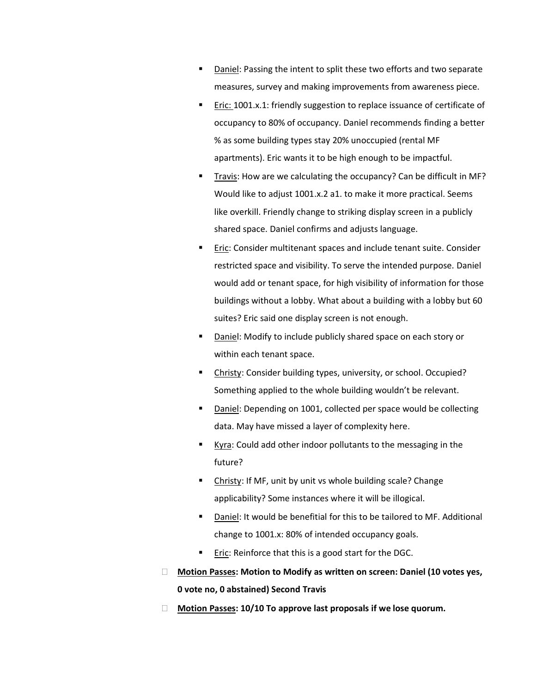- Daniel: Passing the intent to split these two efforts and two separate measures, survey and making improvements from awareness piece.
- Eric: 1001.x.1: friendly suggestion to replace issuance of certificate of occupancy to 80% of occupancy. Daniel recommends finding a better % as some building types stay 20% unoccupied (rental MF apartments). Eric wants it to be high enough to be impactful.
- Travis: How are we calculating the occupancy? Can be difficult in MF? Would like to adjust 1001.x.2 a1. to make it more practical. Seems like overkill. Friendly change to striking display screen in a publicly shared space. Daniel confirms and adjusts language.
- Eric: Consider multitenant spaces and include tenant suite. Consider restricted space and visibility. To serve the intended purpose. Daniel would add or tenant space, for high visibility of information for those buildings without a lobby. What about a building with a lobby but 60 suites? Eric said one display screen is not enough.
- Daniel: Modify to include publicly shared space on each story or within each tenant space.
- Christy: Consider building types, university, or school. Occupied? Something applied to the whole building wouldn't be relevant.
- Daniel: Depending on 1001, collected per space would be collecting data. May have missed a layer of complexity here.
- Kyra: Could add other indoor pollutants to the messaging in the future?
- Christy: If MF, unit by unit vs whole building scale? Change applicability? Some instances where it will be illogical.
- Daniel: It would be benefitial for this to be tailored to MF. Additional change to 1001.x: 80% of intended occupancy goals.
- Eric: Reinforce that this is a good start for the DGC.
- **Motion Passes: Motion to Modify as written on screen: Daniel (10 votes yes, 0 vote no, 0 abstained) Second Travis**
- **Motion Passes: 10/10 To approve last proposals if we lose quorum.**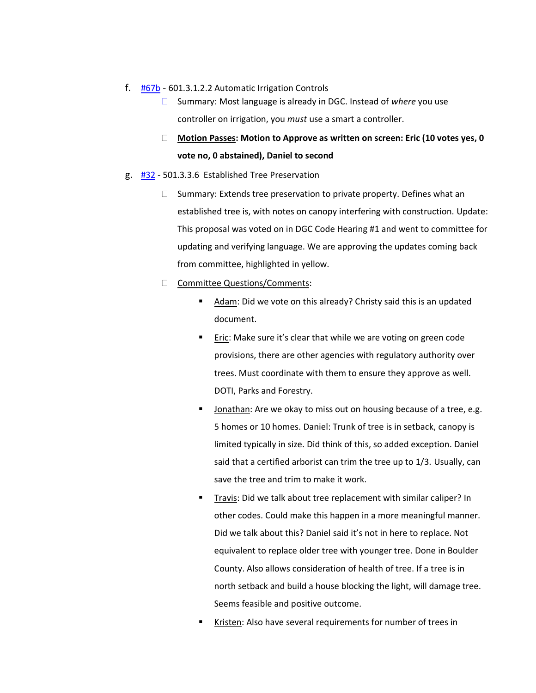#### f. [#67b](https://www.denvergov.org/files/assets/public/community-planning-and-development/documents/ds/building-codes/code-adoption/amendment-proposals/dgc/67b-601.3.1.2.2-automatic-irrigation-controls.pdf) - 601.3.1.2.2 Automatic Irrigation Controls

- □ Summary: Most language is already in DGC. Instead of *where* you use controller on irrigation, you *must* use a smart a controller.
- **Motion Passes: Motion to Approve as written on screen: Eric (10 votes yes, 0 vote no, 0 abstained), Daniel to second**

#### g. [#32](https://www.denvergov.org/files/assets/public/community-planning-and-development/documents/ds/building-codes/code-adoption/amendment-proposals/dgc/dgc_501.3.3.6.pdf) - 501.3.3.6 Established Tree Preservation

- $\Box$  Summary: Extends tree preservation to private property. Defines what an established tree is, with notes on canopy interfering with construction. Update: This proposal was voted on in DGC Code Hearing #1 and went to committee for updating and verifying language. We are approving the updates coming back from committee, highlighted in yellow.
- □ Committee Questions/Comments:
	- Adam: Did we vote on this already? Christy said this is an updated document.
	- Eric: Make sure it's clear that while we are voting on green code provisions, there are other agencies with regulatory authority over trees. Must coordinate with them to ensure they approve as well. DOTI, Parks and Forestry.
	- Jonathan: Are we okay to miss out on housing because of a tree, e.g. 5 homes or 10 homes. Daniel: Trunk of tree is in setback, canopy is limited typically in size. Did think of this, so added exception. Daniel said that a certified arborist can trim the tree up to 1/3. Usually, can save the tree and trim to make it work.
	- Travis: Did we talk about tree replacement with similar caliper? In other codes. Could make this happen in a more meaningful manner. Did we talk about this? Daniel said it's not in here to replace. Not equivalent to replace older tree with younger tree. Done in Boulder County. Also allows consideration of health of tree. If a tree is in north setback and build a house blocking the light, will damage tree. Seems feasible and positive outcome.
	- Kristen: Also have several requirements for number of trees in